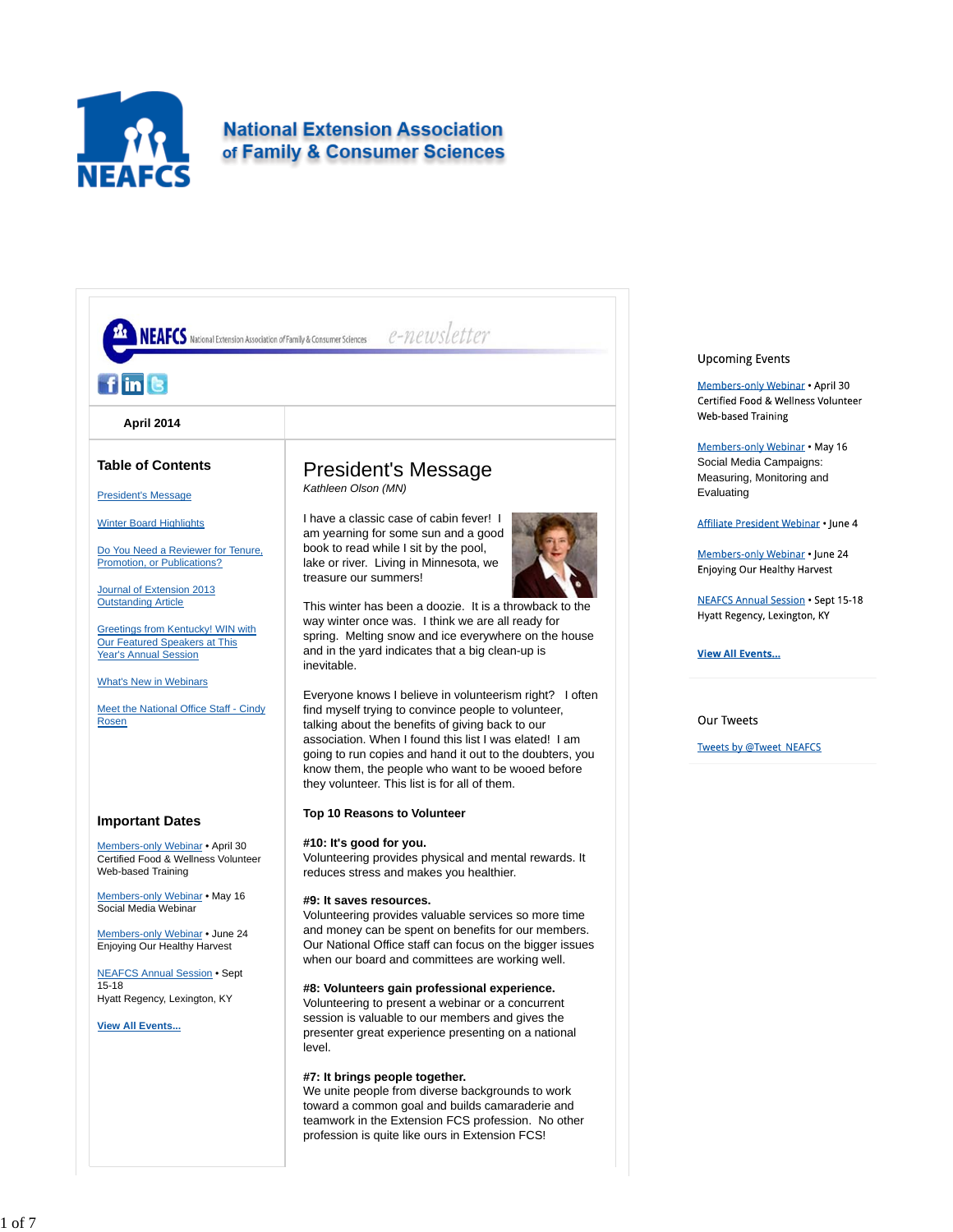

# **National Extension Association** of Family & Consumer Sciences



## **Upcoming Events**

Members-only Webinar . April 30 Certified Food & Wellness Volunteer **Web-based Training** 

Members-only Webinar . May 16 Social Media Campaigns: Measuring, Monitoring and Evaluating

Affiliate President Webinar . June 4

Members-only Webinar . June 24 Enjoying Our Healthy Harvest

**NEAFCS Annual Session . Sept 15-18** Hyatt Regency, Lexington, KY

**View All Events...** 

**Our Tweets** 

**Tweets by @Tweet\_NEAFCS**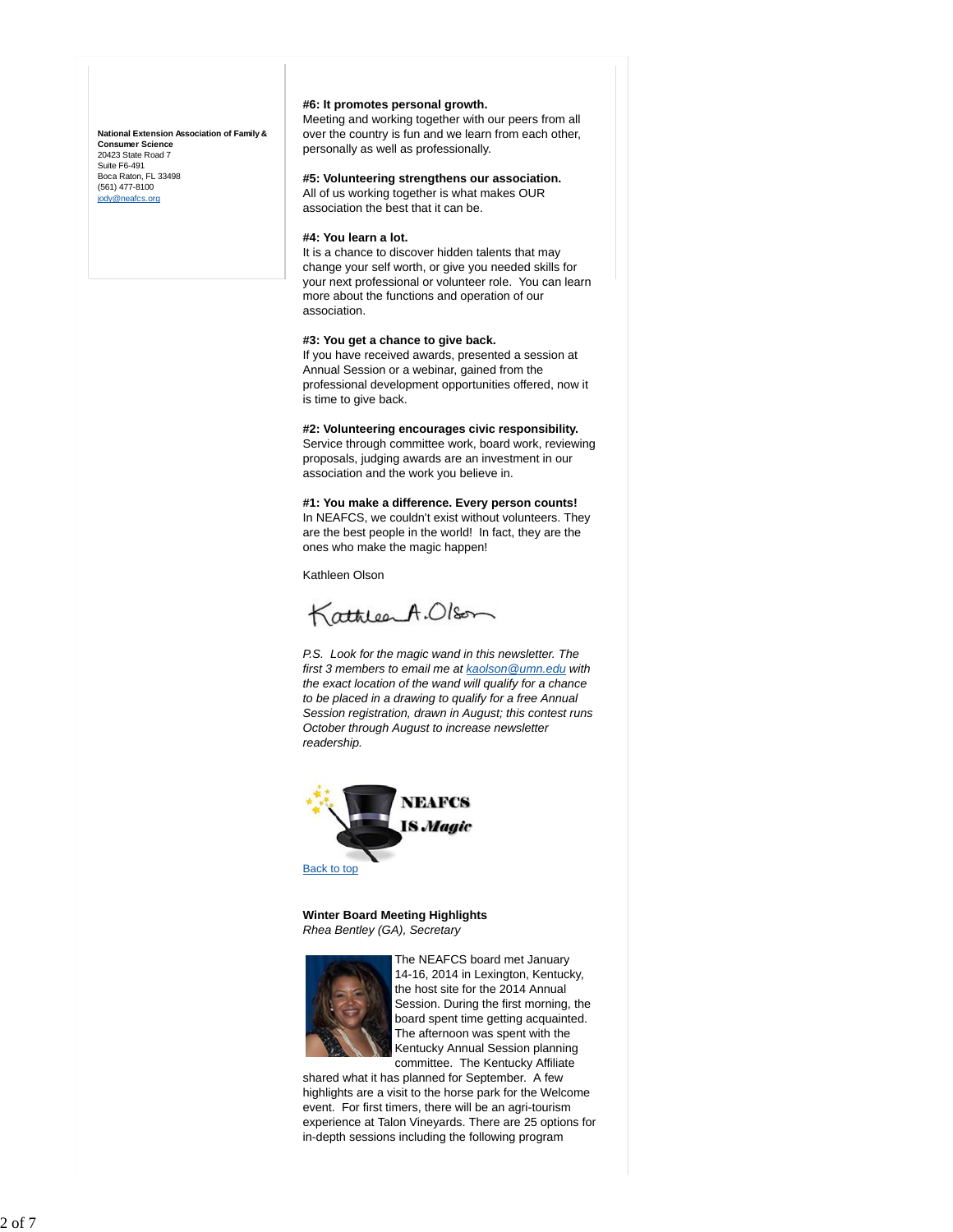**National Extension Association of Family & Consumer Science** 20423 State Road 7 Suite F6-491 Boca Raton, FL 33498 (561) 477-8100 jody@neafcs.org

## **#6: It promotes personal growth.**

Meeting and working together with our peers from all over the country is fun and we learn from each other, personally as well as professionally.

## **#5: Volunteering strengthens our association.**

All of us working together is what makes OUR association the best that it can be.

#### **#4: You learn a lot.**

It is a chance to discover hidden talents that may change your self worth, or give you needed skills for your next professional or volunteer role. You can learn more about the functions and operation of our association.

#### **#3: You get a chance to give back.**

If you have received awards, presented a session at Annual Session or a webinar, gained from the professional development opportunities offered, now it is time to give back.

## **#2: Volunteering encourages civic responsibility.**

Service through committee work, board work, reviewing proposals, judging awards are an investment in our association and the work you believe in.

#### **#1: You make a difference. Every person counts!**

In NEAFCS, we couldn't exist without volunteers. They are the best people in the world! In fact, they are the ones who make the magic happen!

Kathleen Olson

KathleenA.Olson

*P.S. Look for the magic wand in this newsletter. The first 3 members to email me at kaolson@umn.edu with the exact location of the wand will qualify for a chance to be placed in a drawing to qualify for a free Annual Session registration, drawn in August; this contest runs October through August to increase newsletter readership.*



**Winter Board Meeting Highlights** *Rhea Bentley (GA), Secretary*



The NEAFCS board met January 14-16, 2014 in Lexington, Kentucky, the host site for the 2014 Annual Session. During the first morning, the board spent time getting acquainted. The afternoon was spent with the Kentucky Annual Session planning committee. The Kentucky Affiliate

shared what it has planned for September. A few highlights are a visit to the horse park for the Welcome event. For first timers, there will be an agri-tourism experience at Talon Vineyards. There are 25 options for in-depth sessions including the following program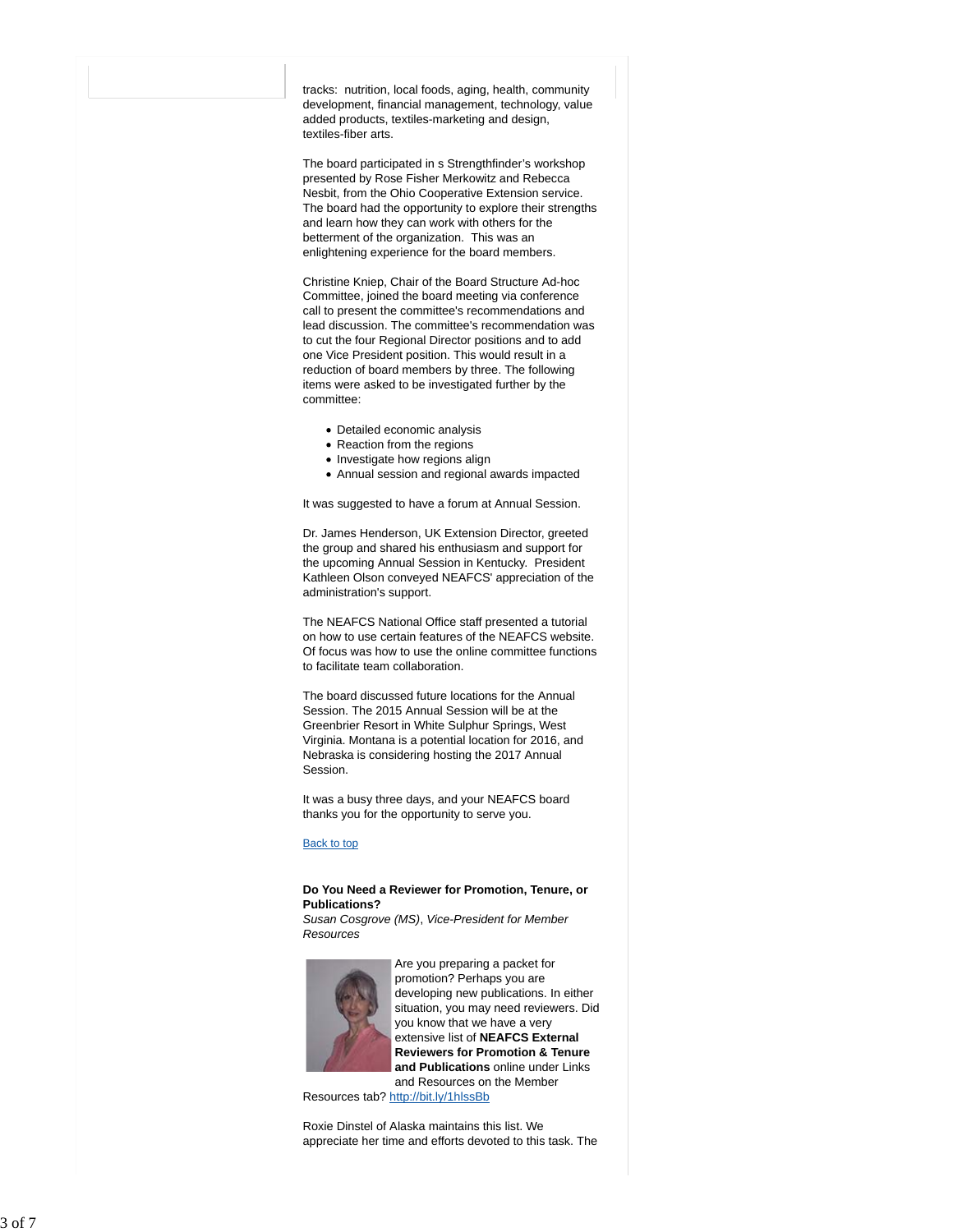tracks: nutrition, local foods, aging, health, community development, financial management, technology, value added products, textiles-marketing and design, textiles-fiber arts.

The board participated in s Strengthfinder's workshop presented by Rose Fisher Merkowitz and Rebecca Nesbit, from the Ohio Cooperative Extension service. The board had the opportunity to explore their strengths and learn how they can work with others for the betterment of the organization. This was an enlightening experience for the board members.

Christine Kniep, Chair of the Board Structure Ad-hoc Committee, joined the board meeting via conference call to present the committee's recommendations and lead discussion. The committee's recommendation was to cut the four Regional Director positions and to add one Vice President position. This would result in a reduction of board members by three. The following items were asked to be investigated further by the committee:

- Detailed economic analysis
- Reaction from the regions
- Investigate how regions align
- Annual session and regional awards impacted

It was suggested to have a forum at Annual Session.

Dr. James Henderson, UK Extension Director, greeted the group and shared his enthusiasm and support for the upcoming Annual Session in Kentucky. President Kathleen Olson conveyed NEAFCS' appreciation of the administration's support.

The NEAFCS National Office staff presented a tutorial on how to use certain features of the NEAFCS website. Of focus was how to use the online committee functions to facilitate team collaboration.

The board discussed future locations for the Annual Session. The 2015 Annual Session will be at the Greenbrier Resort in White Sulphur Springs, West Virginia. Montana is a potential location for 2016, and Nebraska is considering hosting the 2017 Annual Session.

It was a busy three days, and your NEAFCS board thanks you for the opportunity to serve you.

#### Back to top

### **Do You Need a Reviewer for Promotion, Tenure, or Publications?**

*Susan Cosgrove (MS)*, *Vice-President for Member Resources*



Are you preparing a packet for promotion? Perhaps you are developing new publications. In either situation, you may need reviewers. Did you know that we have a very extensive list of **NEAFCS External Reviewers for Promotion & Tenure and Publications** online under Links and Resources on the Member

Resources tab? http://bit.ly/1hlssBb

Roxie Dinstel of Alaska maintains this list. We appreciate her time and efforts devoted to this task. The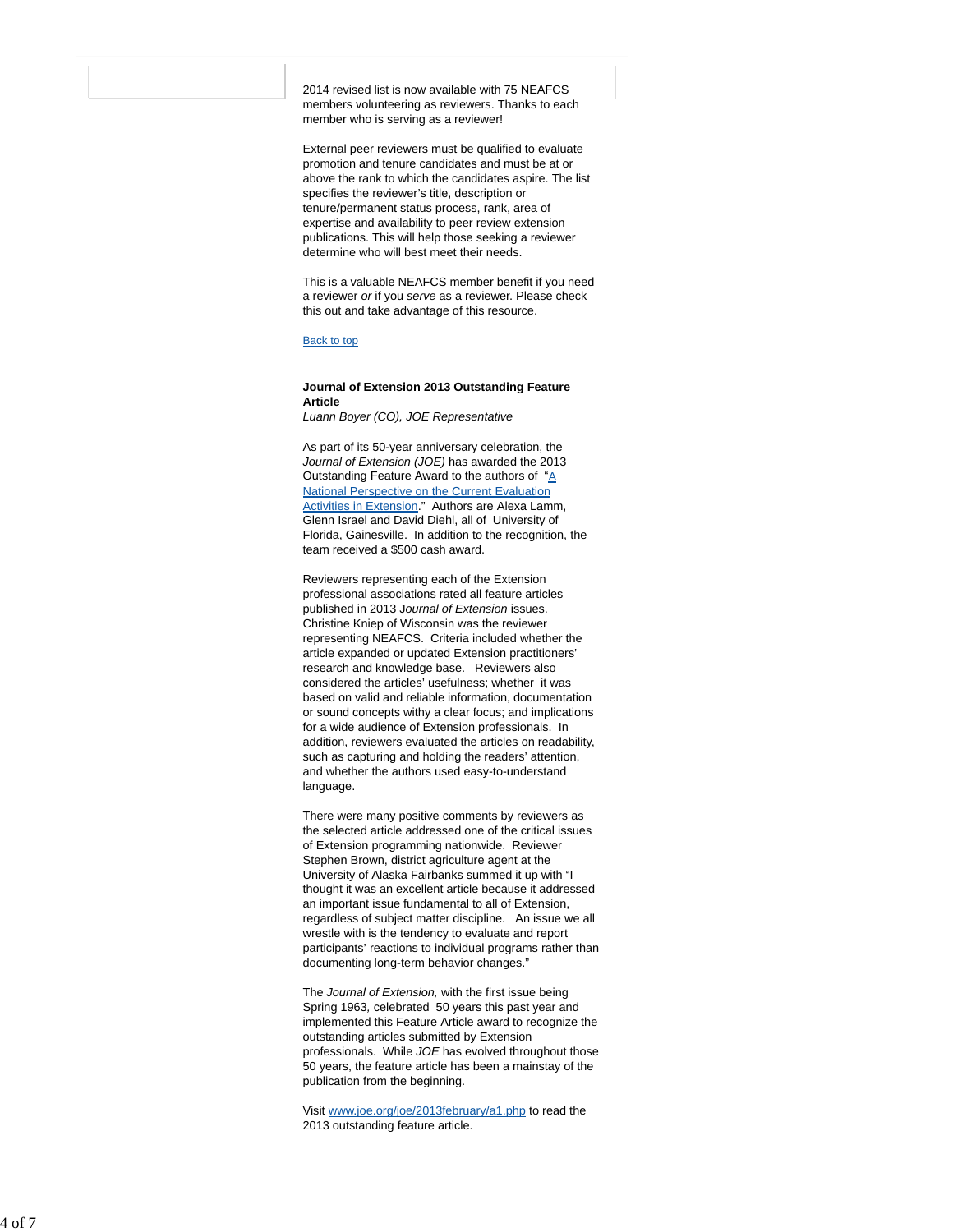2014 revised list is now available with 75 NEAFCS members volunteering as reviewers. Thanks to each member who is serving as a reviewer!

External peer reviewers must be qualified to evaluate promotion and tenure candidates and must be at or above the rank to which the candidates aspire. The list specifies the reviewer's title, description or tenure/permanent status process, rank, area of expertise and availability to peer review extension publications. This will help those seeking a reviewer determine who will best meet their needs.

This is a valuable NEAFCS member benefit if you need a reviewer *or* if you *serve* as a reviewer. Please check this out and take advantage of this resource.

#### Back to top

#### **Journal of Extension 2013 Outstanding Feature Article**

*Luann Boyer (CO), JOE Representative*

As part of its 50-year anniversary celebration, the *Journal of Extension (JOE)* has awarded the 2013 Outstanding Feature Award to the authors of "A National Perspective on the Current Evaluation Activities in Extension." Authors are Alexa Lamm, Glenn Israel and David Diehl, all of University of Florida, Gainesville. In addition to the recognition, the team received a \$500 cash award.

Reviewers representing each of the Extension professional associations rated all feature articles published in 2013 J*ournal of Extension* issues. Christine Kniep of Wisconsin was the reviewer representing NEAFCS. Criteria included whether the article expanded or updated Extension practitioners' research and knowledge base. Reviewers also considered the articles' usefulness; whether it was based on valid and reliable information, documentation or sound concepts withy a clear focus; and implications for a wide audience of Extension professionals. In addition, reviewers evaluated the articles on readability, such as capturing and holding the readers' attention, and whether the authors used easy-to-understand language.

There were many positive comments by reviewers as the selected article addressed one of the critical issues of Extension programming nationwide. Reviewer Stephen Brown, district agriculture agent at the University of Alaska Fairbanks summed it up with "I thought it was an excellent article because it addressed an important issue fundamental to all of Extension, regardless of subject matter discipline. An issue we all wrestle with is the tendency to evaluate and report participants' reactions to individual programs rather than documenting long-term behavior changes."

The *Journal of Extension,* with the first issue being Spring 1963 *,* celebrated 50 years this past year and implemented this Feature Article award to recognize the outstanding articles submitted by Extension professionals. While *JOE* has evolved throughout those 50 years, the feature article has been a mainstay of the publication from the beginning.

Visit www.joe.org/joe/2013february/a1.php to read the 2013 outstanding feature article.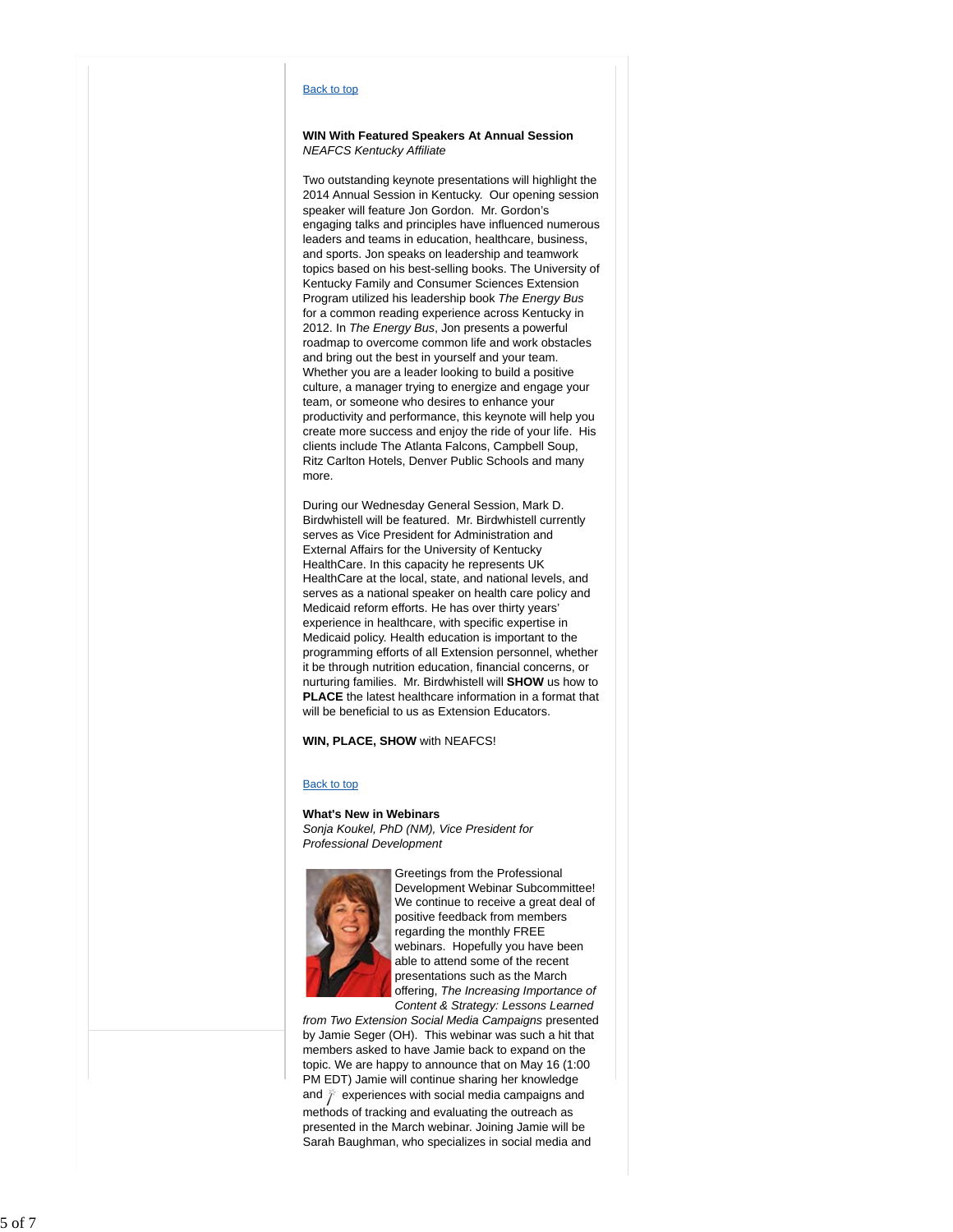#### Back to top

## **WIN With Featured Speakers At Annual Session** *NEAFCS Kentucky Affiliate*

Two outstanding keynote presentations will highlight the 2014 Annual Session in Kentucky. Our opening session speaker will feature Jon Gordon. Mr. Gordon's engaging talks and principles have influenced numerous leaders and teams in education, healthcare, business, and sports. Jon speaks on leadership and teamwork topics based on his best-selling books. The University of Kentucky Family and Consumer Sciences Extension Program utilized his leadership book *The Energy Bus* for a common reading experience across Kentucky in 2012. In *The Energy Bus*, Jon presents a powerful roadmap to overcome common life and work obstacles and bring out the best in yourself and your team. Whether you are a leader looking to build a positive culture, a manager trying to energize and engage your team, or someone who desires to enhance your productivity and performance, this keynote will help you create more success and enjoy the ride of your life. His clients include The Atlanta Falcons, Campbell Soup, Ritz Carlton Hotels, Denver Public Schools and many more.

During our Wednesday General Session, Mark D. Birdwhistell will be featured. Mr. Birdwhistell currently serves as Vice President for Administration and External Affairs for the University of Kentucky HealthCare. In this capacity he represents UK HealthCare at the local, state, and national levels, and serves as a national speaker on health care policy and Medicaid reform efforts. He has over thirty years' experience in healthcare, with specific expertise in Medicaid policy. Health education is important to the programming efforts of all Extension personnel, whether it be through nutrition education, financial concerns, or nurturing families. Mr. Birdwhistell will **SHOW** us how to **PLACE** the latest healthcare information in a format that will be beneficial to us as Extension Educators.

### **WIN, PLACE, SHOW** with NEAFCS!

#### Back to top

#### **What's New in Webinars**

*Sonja Koukel, PhD (NM), Vice President for Professional Development*



Greetings from the Professional Development Webinar Subcommittee! We continue to receive a great deal of positive feedback from members regarding the monthly FREE webinars. Hopefully you have been able to attend some of the recent presentations such as the March offering, *The Increasing Importance of Content & Strategy: Lessons Learned*

*from Two Extension Social Media Campaigns* presented by Jamie Seger (OH). This webinar was such a hit that members asked to have Jamie back to expand on the topic. We are happy to announce that on May 16 (1:00 PM EDT) Jamie will continue sharing her knowledge and  $\hat{p}$  experiences with social media campaigns and methods of tracking and evaluating the outreach as presented in the March webinar. Joining Jamie will be Sarah Baughman, who specializes in social media and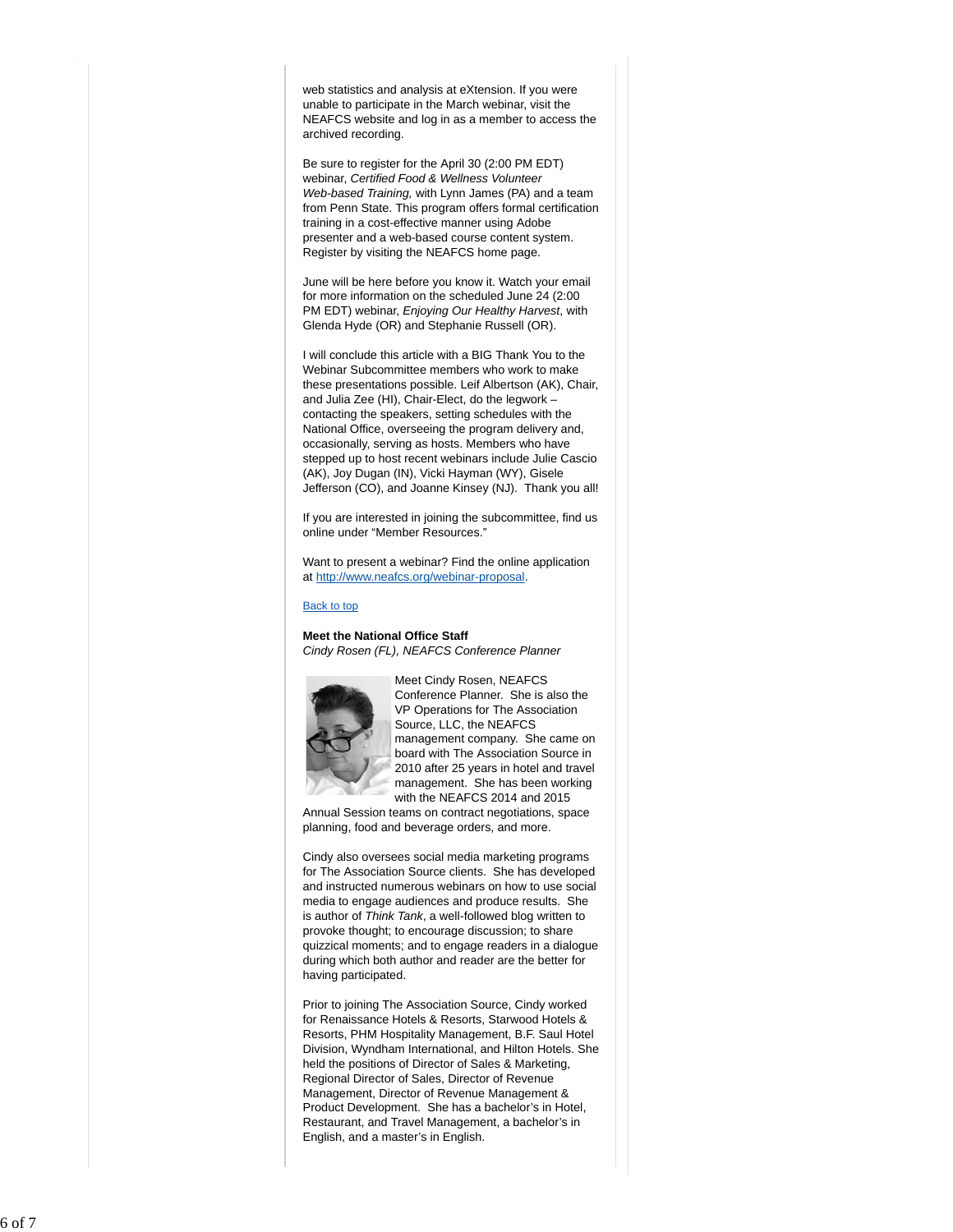web statistics and analysis at eXtension. If you were unable to participate in the March webinar, visit the NEAFCS website and log in as a member to access the archived recording.

Be sure to register for the April 30 (2:00 PM EDT) webinar, *Certified Food & Wellness Volunteer Web-based Training,* with Lynn James (PA) and a team from Penn State. This program offers formal certification training in a cost-effective manner using Adobe presenter and a web-based course content system. Register by visiting the NEAFCS home page.

June will be here before you know it. Watch your email for more information on the scheduled June 24 (2:00 PM EDT) webinar, *Enjoying Our Healthy Harvest*, with Glenda Hyde (OR) and Stephanie Russell (OR).

I will conclude this article with a BIG Thank You to the Webinar Subcommittee members who work to make these presentations possible. Leif Albertson (AK), Chair, and Julia Zee (HI), Chair-Elect, do the legwork – contacting the speakers, setting schedules with the National Office, overseeing the program delivery and, occasionally, serving as hosts. Members who have stepped up to host recent webinars include Julie Cascio (AK), Joy Dugan (IN), Vicki Hayman (WY), Gisele Jefferson (CO), and Joanne Kinsey (NJ). Thank you all!

If you are interested in joining the subcommittee, find us online under "Member Resources."

Want to present a webinar? Find the online application at http://www.neafcs.org/webinar-proposal .

### Back to top

**Meet the National Office Staff** *Cindy Rosen (FL), NEAFCS Conference Planner*



Meet Cindy Rosen, NEAFCS Conference Planner. She is also the VP Operations for The Association Source, LLC, the NEAFCS management company. She came on board with The Association Source in 2010 after 25 years in hotel and travel management. She has been working with the NEAFCS 2014 and 2015

Annual Session teams on contract negotiations, space planning, food and beverage orders, and more.

Cindy also oversees social media marketing programs for The Association Source clients. She has developed and instructed numerous webinars on how to use social media to engage audiences and produce results. She is author of *Think Tank*, a well-followed blog written to provoke thought; to encourage discussion; to share quizzical moments; and to engage readers in a dialogue during which both author and reader are the better for having participated.

Prior to joining The Association Source, Cindy worked for Renaissance Hotels & Resorts, Starwood Hotels & Resorts, PHM Hospitality Management, B.F. Saul Hotel Division, Wyndham International, and Hilton Hotels. She held the positions of Director of Sales & Marketing, Regional Director of Sales, Director of Revenue Management, Director of Revenue Management & Product Development. She has a bachelor's in Hotel, Restaurant, and Travel Management, a bachelor's in English, and a master's in English.